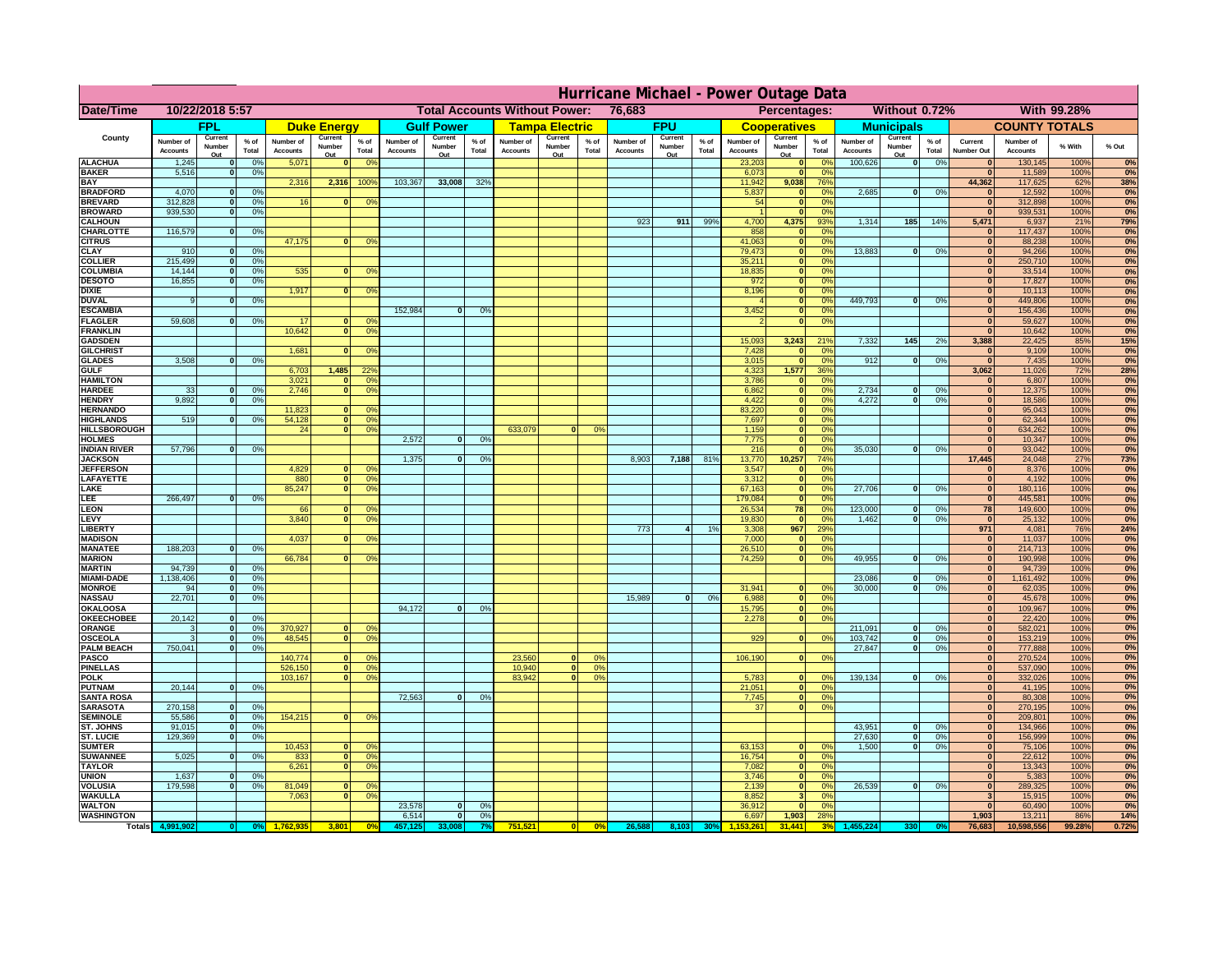|                                      | Hurricane Michael - Power Outage Data |                   |                                  |                              |                    |                                                         |                              |                   |                 |                              |                         |                                              |                              |                   |                 |                              |                                        |                       |                              |                              |                 |                                |                              |              |           |
|--------------------------------------|---------------------------------------|-------------------|----------------------------------|------------------------------|--------------------|---------------------------------------------------------|------------------------------|-------------------|-----------------|------------------------------|-------------------------|----------------------------------------------|------------------------------|-------------------|-----------------|------------------------------|----------------------------------------|-----------------------|------------------------------|------------------------------|-----------------|--------------------------------|------------------------------|--------------|-----------|
| <b>Date/Time</b>                     | 10/22/2018 5:57                       |                   |                                  |                              |                    | 76,683<br><b>Total Accounts Without Power:</b>          |                              |                   |                 |                              |                         | Without 0.72%<br>With 99.28%<br>Percentages: |                              |                   |                 |                              |                                        |                       |                              |                              |                 |                                |                              |              |           |
|                                      |                                       | <b>FPL</b>        |                                  |                              | <b>Duke Energy</b> |                                                         |                              | <b>Gulf Power</b> |                 |                              | <b>Tampa Electric</b>   |                                              |                              | <b>FPU</b>        |                 |                              | <b>Cooperatives</b>                    |                       |                              | <b>Municipals</b>            |                 |                                | <b>COUNTY TOTALS</b>         |              |           |
| County                               | Number of<br><b>Accounts</b>          | Current<br>Number | % of<br>Total                    | Number of<br><b>Accounts</b> | Current<br>Number  | $%$ of<br>Total                                         | Number of<br><b>Accounts</b> | Current<br>Number | $%$ of<br>Total | Number of<br><b>Accounts</b> | Current<br>Number       | $%$ of<br>Total                              | Number of<br><b>Accounts</b> | Current<br>Number | $%$ of<br>Total | Number of<br><b>Accounts</b> | Current<br>Number                      | $%$ of<br>Total       | Number of<br><b>Accounts</b> | Current<br>Number            | $%$ of<br>Total | Current<br><b>Number Out</b>   | Number of<br><b>Accounts</b> | % With       | % Out     |
| <b>ALACHUA</b>                       | 1,245                                 | Out               | 0 <sup>9</sup>                   | 5,071                        | Out                | 0 <sup>9</sup><br>$\mathbf{0}$                          |                              | Out               |                 |                              | Out                     |                                              |                              | Out               |                 | 23,203                       | Out<br>$\mathbf{0}$                    | 0 <sup>9</sup>        | 100,626                      | Out<br> 0                    | 0%              | $\bf{0}$                       | 130,145                      | 100%         | 0%        |
| <b>BAKER</b>                         | 5,516                                 |                   | 0%                               |                              |                    |                                                         |                              |                   |                 |                              |                         |                                              |                              |                   |                 | 6,073                        | ō                                      | 0%                    |                              |                              |                 | $\mathbf{0}$                   | 11,589                       | 100%         | 0%        |
| <b>BAY</b><br><b>BRADFORD</b>        | 4,070                                 |                   | 0 <sup>9</sup>                   | 2,316                        | 2,316              | 100%                                                    | 103,367                      | 33,008            | 32%             |                              |                         |                                              |                              |                   |                 | 11,942<br>5,837              | 9,038<br>$\mathbf{0}$                  | 76%<br>0%             | 2,685                        | 0                            | 0%              | 44,362<br>$\bf{0}$             | 117,625<br>12,592            | 62%<br>100%  | 38%<br>0% |
| <b>BREVARD</b>                       | 312,828                               |                   | 0 <sup>9</sup>                   | 16                           |                    | 0 <sup>9</sup><br>$\mathbf{0}$                          |                              |                   |                 |                              |                         |                                              |                              |                   |                 | 54                           | $\mathbf{0}$                           | 0%                    |                              |                              |                 | $\mathbf{0}$                   | 312,898                      | 100%         | 0%        |
| <b>BROWARD</b>                       | 939.530                               |                   | 0 <sup>9</sup>                   |                              |                    |                                                         |                              |                   |                 |                              |                         |                                              |                              |                   |                 |                              | $\mathbf{0}$                           | 0%                    |                              |                              |                 | $\bf{0}$                       | 939,531                      | 100%         | 0%        |
| <b>CALHOUN</b>                       |                                       |                   |                                  |                              |                    |                                                         |                              |                   |                 |                              |                         |                                              | 923                          | 911               | 99%             | 4,700                        | 4,375                                  | 93%                   | 1,314                        | 185                          | 14%             | 5,471                          | 6,937                        | 21%          | 79%       |
| CHARLOTTE<br><b>CITRUS</b>           | 116,579                               |                   | 0%                               | 47,175                       |                    | 0 <sup>9</sup><br>$\bf{0}$                              |                              |                   |                 |                              |                         |                                              |                              |                   |                 | 858<br>41,063                | $\mathbf 0$<br>$\mathbf 0$             | 0%<br>0 <sup>9</sup>  |                              |                              |                 | $\bf{0}$                       | 117,437<br>88,238            | 100%<br>100% | 0%<br>0%  |
| <b>CLAY</b>                          | 910                                   |                   | 0 <sup>9</sup>                   |                              |                    |                                                         |                              |                   |                 |                              |                         |                                              |                              |                   |                 | 79,473                       | $\mathbf 0$                            | 0 <sup>9</sup>        | 13,883                       | 0                            | 0%              | $\bf{0}$                       | 94,266                       | 100%         | 0%        |
| <b>COLLIER</b>                       | 215,499                               |                   | 0 <sup>9</sup>                   |                              |                    |                                                         |                              |                   |                 |                              |                         |                                              |                              |                   |                 | 35,211                       | $\mathbf{0}$                           | 0%                    |                              |                              |                 | $\bf{0}$                       | 250,710                      | 100%         | 0%        |
| <b>COLUMBIA</b><br><b>DESOTO</b>     | 14,144<br>16,855                      |                   | 0 <sup>9</sup><br>0 <sup>9</sup> | 535                          | $\bf{0}$           | 0 <sup>9</sup>                                          |                              |                   |                 |                              |                         |                                              |                              |                   |                 | 18,835<br>972                | ō<br>ō                                 | 0%<br>0%              |                              |                              |                 | $\bf{0}$<br>$\bf{0}$           | 33,514<br>17,827             | 100%<br>100% | 0%<br>0%  |
| <b>DIXIE</b>                         |                                       |                   |                                  | 1,917                        |                    | $\mathbf{0}$<br>0°                                      |                              |                   |                 |                              |                         |                                              |                              |                   |                 | 8,196                        | $\mathbf{0}$                           | $\Omega$ <sup>o</sup> |                              |                              |                 | $\Omega$                       | 10,113                       | 100%         | 0%        |
| <b>DUVAL</b>                         |                                       |                   | 0%                               |                              |                    |                                                         |                              |                   |                 |                              |                         |                                              |                              |                   |                 |                              | $\mathbf{0}$                           | 0%                    | 449.793                      | ol                           | 0%              | $\Omega$                       | 449,806                      | 100%         | 0%        |
| <b>ESCAMBIA</b>                      |                                       |                   |                                  |                              |                    |                                                         | 152,984                      | $\bf{0}$          | 0 <sup>9</sup>  |                              |                         |                                              |                              |                   |                 | 3,452                        | $\mathbf 0$                            | 0%                    |                              |                              |                 | $\Omega$                       | 156,436                      | 100%         | 0%        |
| <b>FLAGLER</b><br><b>FRANKLIN</b>    | 59,608                                |                   | 0%                               | 17<br>10,642                 |                    | 0 <sup>9</sup><br>$\mathbf{0}$<br> 0 <br>0 <sup>9</sup> |                              |                   |                 |                              |                         |                                              |                              |                   |                 |                              | $\bullet$                              | 0%                    |                              |                              |                 | $\bf{0}$<br>$\Omega$           | 59,627<br>10,642             | 100%<br>100% | 0%<br>0%  |
| <b>GADSDEN</b>                       |                                       |                   |                                  |                              |                    |                                                         |                              |                   |                 |                              |                         |                                              |                              |                   |                 | 15,093                       | 3,243                                  | 21%                   | 7,332                        | $145$                        | 2%              | 3,388                          | 22,425                       | 85%          | 15%       |
| <b>GILCHRIST</b>                     |                                       |                   |                                  | 1,681                        |                    | $\mathbf{0}$<br>0 <sup>9</sup>                          |                              |                   |                 |                              |                         |                                              |                              |                   |                 | 7,428                        | $\mathbf{0}$                           | 0%                    |                              |                              |                 | $\mathbf{0}$                   | 9,109                        | 100%         | 0%        |
| <b>GLADES</b><br><b>GULF</b>         | 3,508                                 |                   | 0 <sup>9</sup>                   | 6,703                        | 1,485              | 22 <sup>o</sup>                                         |                              |                   |                 |                              |                         |                                              |                              |                   |                 | 3,015<br>4,323               | $\bullet$<br>1,577                     | 0%<br>36%             | 912                          | $\overline{0}$               | 0%              | 0 <br>3,062                    | 7,435<br>11,026              | 100%<br>72%  | 0%        |
| <b>HAMILTON</b>                      |                                       |                   |                                  | 3,021                        |                    | 0 <sup>9</sup><br>n l                                   |                              |                   |                 |                              |                         |                                              |                              |                   |                 | 3,786                        | $\mathbf{0}$                           | 0%                    |                              |                              |                 | $\mathbf{0}$                   | 6,807                        | 100%         | 28%<br>0% |
| <b>HARDEE</b>                        | 33                                    |                   | 0%                               | 2.746                        |                    | n l<br>0 <sup>9</sup>                                   |                              |                   |                 |                              |                         |                                              |                              |                   |                 | 6.862                        | 0                                      | 0%                    | 2.734                        | $\bf{0}$                     | 0%              | 0                              | 12,375                       | 100%         | 0%        |
| <b>HENDRY</b>                        | 9.892                                 |                   | 0%                               |                              |                    |                                                         |                              |                   |                 |                              |                         |                                              |                              |                   |                 | 4.422                        | 0                                      | 0%                    | 4.272                        | $\mathbf{0}$                 | 0%              | 0                              | 18.586                       | 100%         | 0%        |
| <b>HERNANDO</b><br><b>HIGHLANDS</b>  | 519                                   |                   | 0 <sup>9</sup>                   | 11,823<br>54,128             |                    | <sup>o</sup><br>$\Omega$<br>$\overline{0}$<br>0%        |                              |                   |                 |                              |                         |                                              |                              |                   |                 | 83,220<br>7,697              | 0 <br>$\overline{0}$                   | 0%<br>0%              |                              |                              |                 | 0 <br> 0                       | 95,043<br>62,344             | 100%<br>100% | 0%<br>0%  |
| <b>HILLSBOROUGH</b>                  |                                       |                   |                                  | 24                           |                    | $\overline{0}$<br>0%                                    |                              |                   |                 | 633,079                      |                         | 0 <sup>9</sup>                               |                              |                   |                 | 1,159                        | 0                                      | 0%                    |                              |                              |                 | 0                              | 634,262                      | 100%         | 0%        |
| <b>HOLMES</b>                        |                                       |                   |                                  |                              |                    |                                                         | 2,572                        | $\mathbf{0}$      | 0%              |                              |                         |                                              |                              |                   |                 | 7,775                        | 0                                      | 0%                    |                              |                              |                 | 0                              | 10,347                       | 100%         | 0%        |
| <b>INDIAN RIVER</b>                  | 57,796                                |                   | 0%                               |                              |                    |                                                         |                              |                   |                 |                              |                         |                                              |                              |                   |                 | 216                          | ō                                      | 0%                    | 35,030                       | $\mathbf{0}$                 | 0%              | 0                              | 93,042                       | 100%         | 0%        |
| <b>JACKSON</b><br><b>JEFFERSON</b>   |                                       |                   |                                  | 4,829                        |                    | οI<br>0 <sup>9</sup>                                    | 1,375                        | $\mathbf{0}$      | O <sup>o</sup>  |                              |                         |                                              | 8,903                        | 7,188             | 81%             | 13,770<br>3,547              | 10,257<br>$\mathbf 0$                  | 74%<br>0%             |                              |                              |                 | 17,445<br>$\Omega$             | 24,048<br>8,376              | 27%<br>100%  | 73%<br>0% |
| LAFAYETTE                            |                                       |                   |                                  | 880                          |                    | $\overline{0}$<br>0%                                    |                              |                   |                 |                              |                         |                                              |                              |                   |                 | 3,312                        | $\mathbf{0}$                           | 0%                    |                              |                              |                 | 0                              | 4,192                        | 100%         | 0%        |
| LAKE                                 |                                       |                   |                                  | 85,247                       |                    | $\overline{0}$<br>0%                                    |                              |                   |                 |                              |                         |                                              |                              |                   |                 | 67,163                       | $\mathbf{0}$                           | 0%                    | 27,706                       | $\mathbf{0}$                 | 0%              | 0                              | 180,116                      | 100%         | 0%        |
| LEE                                  | 266,497                               |                   | 0%                               |                              |                    |                                                         |                              |                   |                 |                              |                         |                                              |                              |                   |                 | 179,084                      | 0                                      | 0%                    |                              |                              |                 | 0                              | 445,581                      | 100%         | 0%        |
| <b>LEON</b><br>LEVY                  |                                       |                   |                                  | 66<br>3,840                  |                    | $\Omega$<br>O <sup>9</sup><br>0%<br>$\Omega$            |                              |                   |                 |                              |                         |                                              |                              |                   |                 | 26,534<br>19,830             | 78<br>$\mathbf{0}$                     | 0%<br>0%              | 123,000<br>1,462             | $\mathbf{0}$<br>$\mathbf{0}$ | 0%<br>0%        | 78<br> 0                       | 149,600<br>25,132            | 100%<br>100% | 0%<br>0%  |
| <b>LIBERTY</b>                       |                                       |                   |                                  |                              |                    |                                                         |                              |                   |                 |                              |                         |                                              | 773                          |                   | 1%              | 3,308                        | 967                                    | 29%                   |                              |                              |                 | 971                            | 4,081                        | 76%          | 24%       |
| <b>MADISON</b>                       |                                       |                   |                                  | 4,037                        |                    | n١<br>0 <sup>9</sup>                                    |                              |                   |                 |                              |                         |                                              |                              |                   |                 | 7,000                        | 0                                      | 0%                    |                              |                              |                 | 0                              | 11,037                       | 100%         | 0%        |
| <b>MANATEE</b>                       | 188,203                               | $\Omega$          | 0%                               |                              |                    |                                                         |                              |                   |                 |                              |                         |                                              |                              |                   |                 | 26,510                       | 0                                      | 0%                    |                              | $\Omega$                     |                 | 0                              | 214,713                      | 100%         | 0%<br>0%  |
| <b>MARION</b><br><b>MARTIN</b>       | 94,739                                | $\Omega$          | 0 <sup>9</sup>                   | 66,784                       |                    | ΩI<br>0°                                                |                              |                   |                 |                              |                         |                                              |                              |                   |                 | 74,259                       | 0                                      | 0%                    | 49,955                       |                              | 0%              | 0 <br> 0                       | 190,998<br>94,739            | 100%<br>100% | 0%        |
| <b>MIAMI-DADE</b>                    | 1,138,406                             | $\mathbf{0}$      | 0 <sup>9</sup>                   |                              |                    |                                                         |                              |                   |                 |                              |                         |                                              |                              |                   |                 |                              |                                        |                       | 23,086                       | $\mathbf 0$                  | 0%              | 0                              | 1,161,492                    | 100%         | 0%        |
| <b>MONROE</b>                        | 94                                    | 0                 | 0%                               |                              |                    |                                                         |                              |                   |                 |                              |                         |                                              |                              |                   |                 | 31,941                       | $\mathbf{0}$                           | 0 <sup>9</sup>        | 30,000                       | $\mathbf{0}$                 | 0%              | 0                              | 62,035                       | 100%         | 0%        |
| <b>NASSAU</b>                        | 22,701                                | 0                 | 0%                               |                              |                    |                                                         |                              |                   |                 |                              |                         |                                              | 15,989                       | 0                 | 0%              | 6,988                        |                                        | 0 <br>0%              |                              |                              |                 | 0                              | 45,678                       | 100%         | 0%        |
| OKALOOSA<br><b>OKEECHOBEE</b>        | 20,142                                |                   | 0%                               |                              |                    |                                                         | 94,172                       | $\bf{0}$          | 0%              |                              |                         |                                              |                              |                   |                 | 15,795<br>2,278              | 0                                      | 0%<br>0%<br> 0        |                              |                              |                 | 0 <br> 0                       | 109,967<br>22,420            | 100%<br>100% | 0%<br>0%  |
| ORANGE                               |                                       | $\Omega$          | 0 <sup>9</sup>                   | 370,927                      |                    | $\Omega$<br>0 <sup>o</sup>                              |                              |                   |                 |                              |                         |                                              |                              |                   |                 |                              |                                        |                       | 211,091                      | $\mathbf{0}$                 | 0%              | 0                              | 582,021                      | 100%         | 0%        |
| <b>OSCEOLA</b>                       |                                       | $\Omega$          | 0 <sup>9</sup>                   | 48,545                       |                    | 0 <sup>9</sup><br>$\Omega$                              |                              |                   |                 |                              |                         |                                              |                              |                   |                 | 929                          |                                        | 0 <br>0 <sup>9</sup>  | 103,742                      | 0                            | 0%              | 0                              | 153,219                      | 100%         | 0%        |
| <b>PALM BEACH</b>                    | 750,041                               | $\Omega$          | 0 <sup>9</sup>                   | 140,774                      |                    | $\Omega$<br>0 <sup>6</sup>                              |                              |                   |                 |                              | $\Omega$                | 0%                                           |                              |                   |                 |                              |                                        | 0 <br>0%              | 27,847                       | $\overline{0}$               | 0%              | 0 <br> 0                       | 777,888                      | 100%         | 0%        |
| PASCO<br><b>PINELLAS</b>             |                                       |                   |                                  | 526,150                      |                    | 0 <sup>9</sup><br> 0                                    |                              |                   |                 | 23,560<br>10,940             | $\overline{\mathbf{0}}$ | 0%                                           |                              |                   |                 | 106,190                      |                                        |                       |                              |                              |                 | $\Omega$                       | 270,524<br>537,090           | 100%<br>100% | 0%<br>0%  |
| <b>POLK</b>                          |                                       |                   |                                  | 103,167                      |                    | 0 <sup>9</sup><br> 0                                    |                              |                   |                 | 83,942                       | 0                       | 0%                                           |                              |                   |                 | 5,783                        | 0                                      | nº                    | 139,134                      | 0                            | 0%              | 0                              | 332,026                      | 100%         | 0%        |
| <b>PUTNAM</b>                        | 20,144                                | $\mathbf{0}$      | 0%                               |                              |                    |                                                         |                              |                   |                 |                              |                         |                                              |                              |                   |                 | 21,051                       | 0                                      | 0%                    |                              |                              |                 | $\mathbf{0}$                   | 41,195                       | 100%         | 0%        |
| <b>SANTA ROSA</b><br><b>SARASOTA</b> | 270,158                               | $\Omega$          | 0%                               |                              |                    |                                                         | 72,563                       | 0                 | 0%              |                              |                         |                                              |                              |                   |                 | 7,745<br>37                  |                                        | 0 <br>0%<br> 0 <br>0% |                              |                              |                 | $\mathbf{0}$<br>$\mathbf{0}$   | 80,308<br>270,195            | 100%<br>100% | 0%<br>0%  |
| <b>SEMINOLE</b>                      | 55,586                                | $\mathbf{0}$      | 0 <sup>9</sup>                   | 154,215                      |                    | $\mathbf{0}$<br>0%                                      |                              |                   |                 |                              |                         |                                              |                              |                   |                 |                              |                                        |                       |                              |                              |                 | $\mathbf{0}$                   | 209,801                      | 100%         | 0%        |
| <b>ST. JOHNS</b>                     | 91.015                                | $\Omega$          | 0%                               |                              |                    |                                                         |                              |                   |                 |                              |                         |                                              |                              |                   |                 |                              |                                        |                       | 43,951                       | -ol                          | 0%              | 0                              | 134,966                      | 100%         | 0%        |
| <b>ST. LUCIE</b>                     | 129.369                               | $\Omega$          | 0%                               |                              |                    |                                                         |                              |                   |                 |                              |                         |                                              |                              |                   |                 |                              |                                        |                       | 27.630                       | - O I                        | 0%              | 0                              | 156.999                      | 100%         | 0%        |
| <b>SUMTER</b><br><b>SUWANNEE</b>     | 5,025                                 | $\Omega$          | 0%                               | 10,453<br>833                |                    | $\mathbf{0}$<br>$\Omega$<br>0 <sup>9</sup>              |                              |                   |                 |                              |                         |                                              |                              |                   |                 | 63,153<br>16,754             | $\mathbf{0}$<br> 0                     | 0%<br>0%              | 1.500                        | 0                            | 0%              | $\overline{0}$<br>$\mathbf{0}$ | 75,106<br>22,612             | 100%<br>100% | 0%<br>0%  |
| <b>TAYLOR</b>                        |                                       |                   |                                  | 6,261                        |                    | 0 <br> 0 <br>0 <sup>9</sup>                             |                              |                   |                 |                              |                         |                                              |                              |                   |                 | 7,082                        | 0                                      | 0%                    |                              |                              |                 | $\bf{0}$                       | 13,343                       | 100%         | 0%        |
| <b>UNION</b>                         | 1,637                                 |                   | 0 <sup>9</sup>                   |                              |                    |                                                         |                              |                   |                 |                              |                         |                                              |                              |                   |                 | 3,746                        | 0                                      | 0%                    |                              |                              |                 | $\bf{0}$                       | 5,383                        | 100%         | 0%        |
| VOLUSIA                              | 179,598                               |                   | 0 <sup>9</sup>                   | 81,049                       |                    | $\mathbf{0}$<br>0 <sup>6</sup>                          |                              |                   |                 |                              |                         |                                              |                              |                   |                 | 2,139                        | $\mathbf 0$                            | 0%                    | 26,539                       | 0                            | 0%              | $\bf{0}$                       | 289,325                      | 100%         | 0%        |
| <b>WAKULLA</b><br><b>WALTON</b>      |                                       |                   |                                  | 7,063                        |                    | 0 <sup>9</sup><br>$\mathbf{0}$                          | 23,578                       | $\mathbf{0}$      | 0%              |                              |                         |                                              |                              |                   |                 | 8,852<br>36,912              | $\overline{\mathbf{3}}$<br>$\mathbf 0$ | 0%<br>0%              |                              |                              |                 | 3<br>$\bf{0}$                  | 15,915<br>60,490             | 100%<br>100% | 0%<br>0%  |
| <b>WASHINGTON</b>                    |                                       |                   |                                  |                              |                    |                                                         | 6,514                        | $\mathbf{0}$      | 0%              |                              |                         |                                              |                              |                   |                 | 6,697                        | 1,903                                  | 28%                   |                              |                              |                 | 1,903                          | 13,211                       | 86%          | 14%       |
| Totals 4,9                           |                                       |                   |                                  |                              | 3,801              | 0 <sup>o</sup>                                          |                              |                   |                 | 751,521                      |                         | 0%                                           | 26,588                       | 8,103             |                 |                              | 31,441                                 |                       |                              |                              |                 | 76,683                         | 10,598,556                   | 99.28%       | 0.72%     |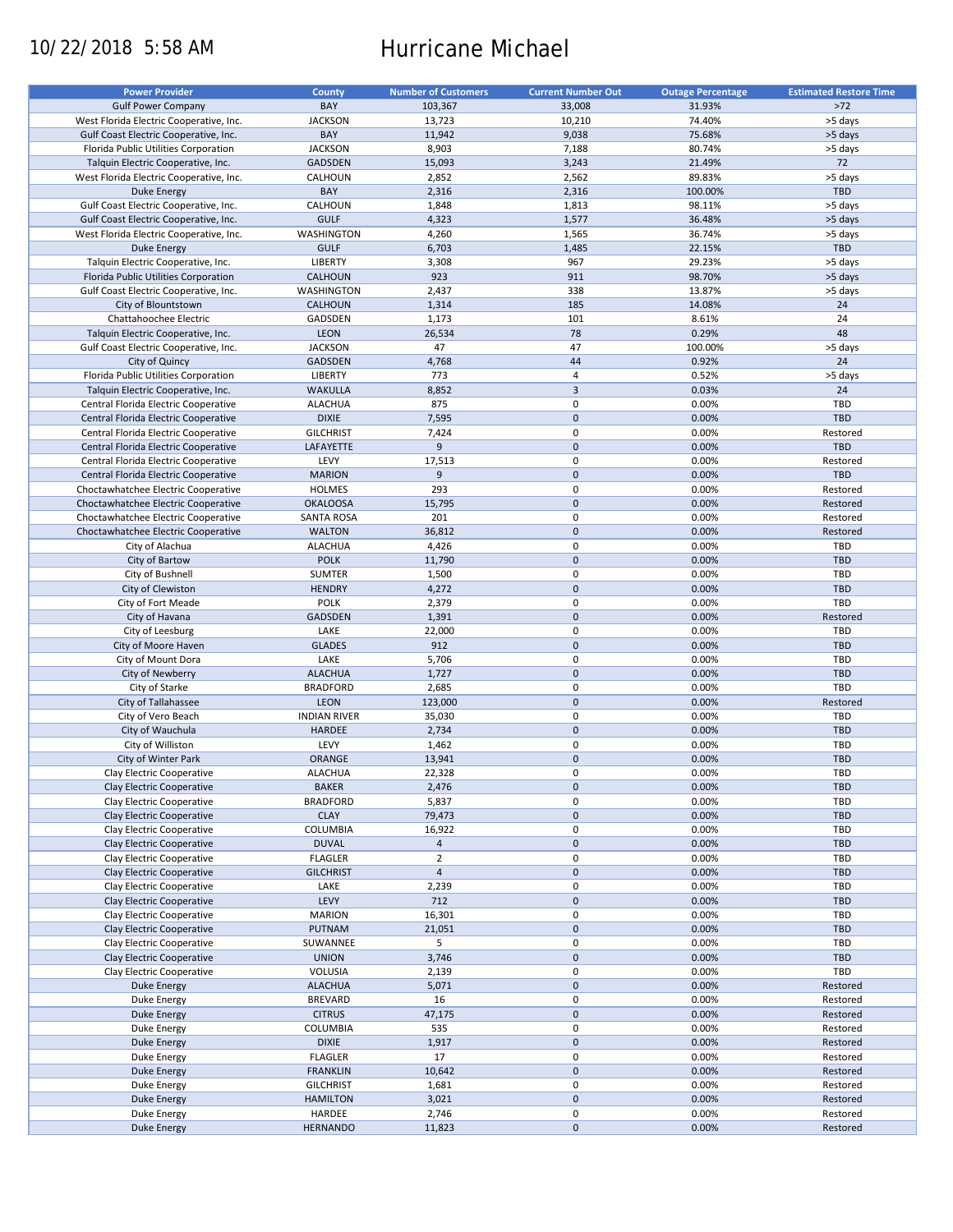# 10/22/2018 5:58 AM Hurricane Michael

| <b>Power Provider</b>                   | <b>County</b>       | <b>Number of Customers</b> | <b>Current Number Out</b> | <b>Outage Percentage</b> | <b>Estimated Restore Time</b> |
|-----------------------------------------|---------------------|----------------------------|---------------------------|--------------------------|-------------------------------|
|                                         |                     |                            |                           |                          |                               |
| <b>Gulf Power Company</b>               | BAY                 | 103,367                    | 33,008                    | 31.93%                   | $>72$                         |
| West Florida Electric Cooperative, Inc. | <b>JACKSON</b>      | 13,723                     | 10,210                    | 74.40%                   | >5 days                       |
| Gulf Coast Electric Cooperative, Inc.   | BAY                 | 11,942                     | 9,038                     | 75.68%                   | >5 days                       |
| Florida Public Utilities Corporation    | <b>JACKSON</b>      | 8,903                      | 7,188                     | 80.74%                   | >5 days                       |
| Talquin Electric Cooperative, Inc.      | <b>GADSDEN</b>      | 15,093                     | 3,243                     | 21.49%                   | 72                            |
| West Florida Electric Cooperative, Inc. | CALHOUN             | 2,852                      | 2,562                     | 89.83%                   | >5 days                       |
| Duke Energy                             | BAY                 | 2,316                      | 2,316                     | 100.00%                  | TBD                           |
|                                         |                     |                            |                           |                          |                               |
| Gulf Coast Electric Cooperative, Inc.   | CALHOUN             | 1,848                      | 1,813                     | 98.11%                   | >5 days                       |
| Gulf Coast Electric Cooperative, Inc.   | <b>GULF</b>         | 4,323                      | 1,577                     | 36.48%                   | >5 days                       |
| West Florida Electric Cooperative, Inc. | WASHINGTON          | 4,260                      | 1,565                     | 36.74%                   | >5 days                       |
| Duke Energy                             | <b>GULF</b>         | 6,703                      | 1,485                     | 22.15%                   | TBD                           |
| Talquin Electric Cooperative, Inc.      | <b>LIBERTY</b>      | 3,308                      | 967                       | 29.23%                   | >5 days                       |
| Florida Public Utilities Corporation    | <b>CALHOUN</b>      | 923                        | 911                       | 98.70%                   | >5 days                       |
| Gulf Coast Electric Cooperative, Inc.   | WASHINGTON          | 2,437                      | 338                       | 13.87%                   | >5 days                       |
|                                         |                     |                            |                           |                          |                               |
| City of Blountstown                     | <b>CALHOUN</b>      | 1,314                      | 185                       | 14.08%                   | 24                            |
| Chattahoochee Electric                  | GADSDEN             | 1,173                      | 101                       | 8.61%                    | 24                            |
| Talquin Electric Cooperative, Inc.      | <b>LEON</b>         | 26,534                     | 78                        | 0.29%                    | 48                            |
| Gulf Coast Electric Cooperative, Inc.   | <b>JACKSON</b>      | 47                         | 47                        | 100.00%                  | >5 days                       |
| City of Quincy                          | GADSDEN             | 4,768                      | 44                        | 0.92%                    | 24                            |
| Florida Public Utilities Corporation    | LIBERTY             | 773                        | $\overline{4}$            | 0.52%                    | >5 days                       |
|                                         |                     |                            | $\overline{\mathbf{3}}$   |                          |                               |
| Talquin Electric Cooperative, Inc.      | <b>WAKULLA</b>      | 8,852                      |                           | 0.03%                    | 24                            |
| Central Florida Electric Cooperative    | <b>ALACHUA</b>      | 875                        | $\pmb{0}$                 | 0.00%                    | TBD                           |
| Central Florida Electric Cooperative    | <b>DIXIE</b>        | 7,595                      | $\mathbf 0$               | 0.00%                    | <b>TBD</b>                    |
| Central Florida Electric Cooperative    | <b>GILCHRIST</b>    | 7,424                      | $\pmb{0}$                 | 0.00%                    | Restored                      |
| Central Florida Electric Cooperative    | LAFAYETTE           | 9                          | $\mathbf 0$               | 0.00%                    | TBD                           |
| Central Florida Electric Cooperative    | LEVY                | 17,513                     | $\mathbf 0$               | 0.00%                    | Restored                      |
| Central Florida Electric Cooperative    | <b>MARION</b>       | 9                          | $\mathbf 0$               | 0.00%                    | TBD                           |
|                                         |                     |                            |                           |                          |                               |
| Choctawhatchee Electric Cooperative     | <b>HOLMES</b>       | 293                        | $\pmb{0}$                 | 0.00%                    | Restored                      |
| Choctawhatchee Electric Cooperative     | <b>OKALOOSA</b>     | 15,795                     | $\mathbf 0$               | 0.00%                    | Restored                      |
| Choctawhatchee Electric Cooperative     | SANTA ROSA          | 201                        | $\pmb{0}$                 | 0.00%                    | Restored                      |
| Choctawhatchee Electric Cooperative     | <b>WALTON</b>       | 36,812                     | $\mathbf 0$               | 0.00%                    | Restored                      |
| City of Alachua                         | <b>ALACHUA</b>      | 4,426                      | 0                         | 0.00%                    | TBD                           |
| City of Bartow                          | <b>POLK</b>         | 11,790                     | $\mathbf 0$               | 0.00%                    | <b>TBD</b>                    |
|                                         |                     |                            |                           |                          |                               |
| City of Bushnell                        | SUMTER              | 1,500                      | 0                         | 0.00%                    | TBD                           |
| City of Clewiston                       | <b>HENDRY</b>       | 4,272                      | $\mathbf 0$               | 0.00%                    | <b>TBD</b>                    |
| City of Fort Meade                      | <b>POLK</b>         | 2,379                      | 0                         | 0.00%                    | TBD                           |
| City of Havana                          | GADSDEN             | 1,391                      | $\mathbf 0$               | 0.00%                    | Restored                      |
| City of Leesburg                        | LAKE                | 22,000                     | $\pmb{0}$                 | 0.00%                    | TBD                           |
| City of Moore Haven                     | <b>GLADES</b>       | 912                        | $\mathbf 0$               | 0.00%                    | <b>TBD</b>                    |
| City of Mount Dora                      | LAKE                | 5,706                      | 0                         | 0.00%                    | TBD                           |
|                                         |                     |                            |                           |                          |                               |
| City of Newberry                        | <b>ALACHUA</b>      | 1,727                      | $\pmb{0}$                 | 0.00%                    | TBD                           |
| City of Starke                          | <b>BRADFORD</b>     | 2,685                      | $\pmb{0}$                 | 0.00%                    | <b>TBD</b>                    |
| City of Tallahassee                     | LEON                | 123,000                    | $\mathbf 0$               | 0.00%                    | Restored                      |
| City of Vero Beach                      | <b>INDIAN RIVER</b> | 35,030                     | 0                         | 0.00%                    | <b>TBD</b>                    |
| City of Wauchula                        | HARDEE              | 2,734                      | $\mathbf 0$               | 0.00%                    | <b>TBD</b>                    |
| City of Williston                       | LEVY                | 1,462                      | 0                         | 0.00%                    | <b>TBD</b>                    |
| City of Winter Park                     | ORANGE              | 13,941                     | $\mathbf 0$               | 0.00%                    | <b>TBD</b>                    |
|                                         |                     |                            |                           |                          |                               |
| Clay Electric Cooperative               | <b>ALACHUA</b>      | 22,328                     | $\mathbf 0$               | 0.00%                    | TBD                           |
| Clay Electric Cooperative               | <b>BAKER</b>        | 2,476                      | $\pmb{0}$                 | 0.00%                    | TBD                           |
| Clay Electric Cooperative               | <b>BRADFORD</b>     | 5,837                      | 0                         | 0.00%                    | TBD                           |
| Clay Electric Cooperative               | <b>CLAY</b>         | 79,473                     | $\pmb{0}$                 | 0.00%                    | <b>TBD</b>                    |
| Clay Electric Cooperative               | <b>COLUMBIA</b>     | 16,922                     | 0                         | 0.00%                    | TBD                           |
| Clay Electric Cooperative               | <b>DUVAL</b>        | $\overline{4}$             | $\mathsf{O}\xspace$       | 0.00%                    | TBD                           |
|                                         | <b>FLAGLER</b>      | $\overline{2}$             | 0                         | 0.00%                    |                               |
| Clay Electric Cooperative               |                     |                            |                           |                          | TBD                           |
| Clay Electric Cooperative               | <b>GILCHRIST</b>    | $\overline{4}$             | $\mathsf{O}\xspace$       | 0.00%                    | TBD                           |
| Clay Electric Cooperative               | LAKE                | 2,239                      | 0                         | 0.00%                    | TBD                           |
| Clay Electric Cooperative               | LEVY                | 712                        | $\mathsf{O}\xspace$       | 0.00%                    | <b>TBD</b>                    |
| Clay Electric Cooperative               | <b>MARION</b>       | 16,301                     | 0                         | 0.00%                    | TBD                           |
| Clay Electric Cooperative               | PUTNAM              | 21,051                     | $\pmb{0}$                 | 0.00%                    | <b>TBD</b>                    |
| Clay Electric Cooperative               | SUWANNEE            | 5                          | 0                         | 0.00%                    | TBD                           |
|                                         |                     |                            |                           |                          |                               |
| Clay Electric Cooperative               | <b>UNION</b>        | 3,746                      | $\pmb{0}$                 | 0.00%                    | TBD                           |
| Clay Electric Cooperative               | VOLUSIA             | 2,139                      | $\pmb{0}$                 | 0.00%                    | TBD                           |
| Duke Energy                             | <b>ALACHUA</b>      | 5,071                      | $\pmb{0}$                 | 0.00%                    | Restored                      |
| Duke Energy                             | <b>BREVARD</b>      | 16                         | 0                         | 0.00%                    | Restored                      |
| Duke Energy                             | <b>CITRUS</b>       | 47,175                     | $\pmb{0}$                 | 0.00%                    | Restored                      |
| Duke Energy                             | <b>COLUMBIA</b>     | 535                        | $\pmb{0}$                 | 0.00%                    | Restored                      |
| Duke Energy                             | <b>DIXIE</b>        | 1,917                      | $\pmb{0}$                 | 0.00%                    | Restored                      |
|                                         |                     |                            |                           |                          |                               |
| Duke Energy                             | <b>FLAGLER</b>      | 17                         | $\pmb{0}$                 | 0.00%                    | Restored                      |
| <b>Duke Energy</b>                      | <b>FRANKLIN</b>     | 10,642                     | $\pmb{0}$                 | 0.00%                    | Restored                      |
| Duke Energy                             | <b>GILCHRIST</b>    | 1,681                      | 0                         | 0.00%                    | Restored                      |
| <b>Duke Energy</b>                      | <b>HAMILTON</b>     | 3,021                      | $\pmb{0}$                 | 0.00%                    | Restored                      |
| Duke Energy                             | HARDEE              | 2,746                      | 0                         | 0.00%                    | Restored                      |
| Duke Energy                             | <b>HERNANDO</b>     | 11,823                     | $\pmb{0}$                 | 0.00%                    | Restored                      |
|                                         |                     |                            |                           |                          |                               |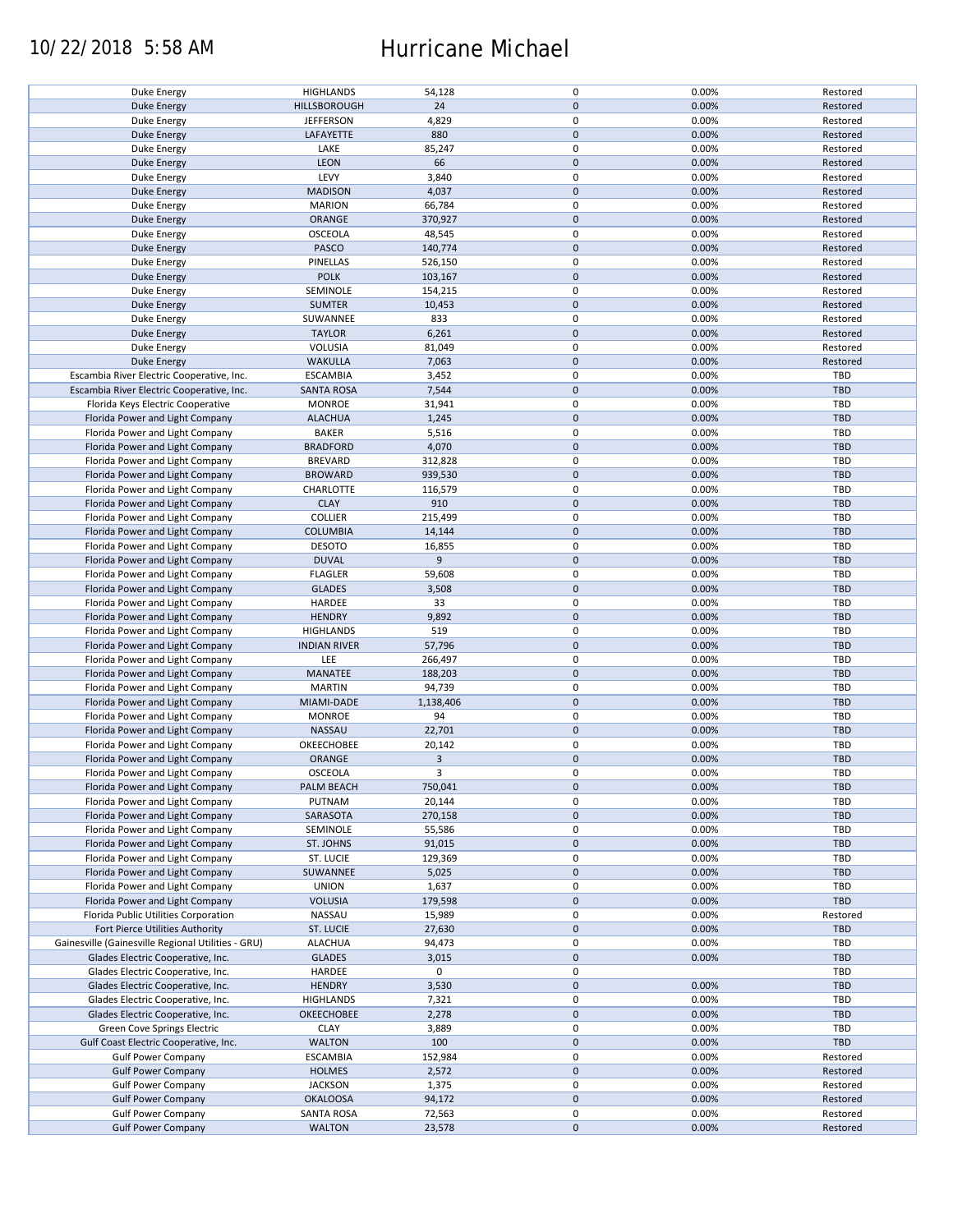### 10/22/2018 5:58 AM Hurricane Michael

| Duke Energy                                            |                                    |                  |                     |                |                      |
|--------------------------------------------------------|------------------------------------|------------------|---------------------|----------------|----------------------|
|                                                        | <b>HIGHLANDS</b>                   | 54,128           | 0                   | 0.00%          | Restored             |
| <b>Duke Energy</b>                                     | <b>HILLSBOROUGH</b>                | 24               | $\mathbf 0$         | 0.00%          | Restored             |
| Duke Energy                                            | <b>JEFFERSON</b>                   | 4,829            | 0                   | 0.00%          | Restored             |
| <b>Duke Energy</b>                                     | LAFAYETTE                          | 880              | $\mathbf 0$         | 0.00%          | Restored             |
|                                                        |                                    |                  |                     |                |                      |
| Duke Energy                                            | LAKE                               | 85,247           | 0                   | 0.00%          | Restored             |
| <b>Duke Energy</b>                                     | <b>LEON</b>                        | 66               | $\mathbf 0$         | 0.00%          | Restored             |
| Duke Energy                                            | LEVY                               | 3,840            | 0                   | 0.00%          | Restored             |
| <b>Duke Energy</b>                                     | <b>MADISON</b>                     | 4,037            | $\mathbf 0$         | 0.00%          | Restored             |
|                                                        |                                    |                  |                     |                |                      |
| Duke Energy                                            | <b>MARION</b>                      | 66,784           | 0                   | 0.00%          | Restored             |
| <b>Duke Energy</b>                                     | ORANGE                             | 370,927          | $\mathbf 0$         | 0.00%          | Restored             |
| Duke Energy                                            | OSCEOLA                            | 48,545           | 0                   | 0.00%          | Restored             |
| Duke Energy                                            | PASCO                              | 140,774          | $\mathbf 0$         | 0.00%          | Restored             |
|                                                        |                                    |                  |                     |                |                      |
| Duke Energy                                            | PINELLAS                           | 526,150          | 0                   | 0.00%          | Restored             |
| Duke Energy                                            | <b>POLK</b>                        | 103,167          | $\mathbf 0$         | 0.00%          | Restored             |
| Duke Energy                                            | SEMINOLE                           | 154,215          | 0                   | 0.00%          | Restored             |
| Duke Energy                                            | <b>SUMTER</b>                      | 10,453           | $\mathbf 0$         | 0.00%          | Restored             |
|                                                        |                                    |                  |                     |                |                      |
| Duke Energy                                            | SUWANNEE                           | 833              | 0                   | 0.00%          | Restored             |
| <b>Duke Energy</b>                                     | <b>TAYLOR</b>                      | 6,261            | $\pmb{0}$           | 0.00%          | Restored             |
| Duke Energy                                            | VOLUSIA                            | 81,049           | 0                   | 0.00%          | Restored             |
| <b>Duke Energy</b>                                     | <b>WAKULLA</b>                     | 7,063            | $\pmb{0}$           | 0.00%          | Restored             |
|                                                        |                                    |                  |                     |                |                      |
| Escambia River Electric Cooperative, Inc.              | <b>ESCAMBIA</b>                    | 3,452            | 0                   | 0.00%          | TBD                  |
| Escambia River Electric Cooperative, Inc.              | <b>SANTA ROSA</b>                  | 7,544            | $\pmb{0}$           | 0.00%          | <b>TBD</b>           |
| Florida Keys Electric Cooperative                      | <b>MONROE</b>                      | 31,941           | $\pmb{0}$           | 0.00%          | <b>TBD</b>           |
| Florida Power and Light Company                        | <b>ALACHUA</b>                     | 1,245            | $\mathbf 0$         | 0.00%          | TBD                  |
|                                                        |                                    |                  |                     |                |                      |
| Florida Power and Light Company                        | <b>BAKER</b>                       | 5,516            | 0                   | 0.00%          | <b>TBD</b>           |
| Florida Power and Light Company                        | <b>BRADFORD</b>                    | 4,070            | $\mathbf 0$         | 0.00%          | <b>TBD</b>           |
| Florida Power and Light Company                        | <b>BREVARD</b>                     | 312,828          | 0                   | 0.00%          | <b>TBD</b>           |
| Florida Power and Light Company                        | <b>BROWARD</b>                     | 939,530          | $\mathsf{O}\xspace$ | 0.00%          | <b>TBD</b>           |
|                                                        | CHARLOTTE                          |                  | 0                   | 0.00%          | <b>TBD</b>           |
| Florida Power and Light Company                        |                                    | 116,579          |                     |                |                      |
| Florida Power and Light Company                        | <b>CLAY</b>                        | 910              | $\pmb{0}$           | 0.00%          | <b>TBD</b>           |
| Florida Power and Light Company                        | <b>COLLIER</b>                     | 215,499          | 0                   | 0.00%          | <b>TBD</b>           |
| Florida Power and Light Company                        | <b>COLUMBIA</b>                    | 14,144           | $\mathsf{O}\xspace$ | 0.00%          | <b>TBD</b>           |
| Florida Power and Light Company                        | <b>DESOTO</b>                      | 16,855           | 0                   | 0.00%          | <b>TBD</b>           |
| Florida Power and Light Company                        | <b>DUVAL</b>                       | 9                | $\pmb{0}$           | 0.00%          | <b>TBD</b>           |
|                                                        |                                    |                  |                     |                |                      |
| Florida Power and Light Company                        | <b>FLAGLER</b>                     | 59,608           | $\pmb{0}$           | 0.00%          | <b>TBD</b>           |
| Florida Power and Light Company                        | <b>GLADES</b>                      | 3,508            | $\mathbf 0$         | 0.00%          | <b>TBD</b>           |
| Florida Power and Light Company                        | HARDEE                             | 33               | 0                   | 0.00%          | TBD                  |
| Florida Power and Light Company                        | <b>HENDRY</b>                      | 9,892            | $\mathbf 0$         | 0.00%          | <b>TBD</b>           |
| Florida Power and Light Company                        | <b>HIGHLANDS</b>                   | 519              | 0                   | 0.00%          | TBD                  |
|                                                        |                                    |                  |                     |                |                      |
| Florida Power and Light Company                        | <b>INDIAN RIVER</b>                | 57,796           | $\pmb{0}$           | 0.00%          | <b>TBD</b>           |
| Florida Power and Light Company                        | LEE                                | 266,497          | 0                   | 0.00%          | <b>TBD</b>           |
| Florida Power and Light Company                        | MANATEE                            | 188,203          | $\mathbf 0$         | 0.00%          | <b>TBD</b>           |
| Florida Power and Light Company                        | <b>MARTIN</b>                      | 94,739           | 0                   | 0.00%          | <b>TBD</b>           |
| Florida Power and Light Company                        | MIAMI-DADE                         | 1,138,406        | $\mathbf 0$         | 0.00%          | <b>TBD</b>           |
|                                                        |                                    | 94               |                     |                |                      |
| Florida Power and Light Company                        | <b>MONROE</b>                      |                  |                     |                |                      |
|                                                        |                                    |                  | 0                   | 0.00%          | TBD                  |
| Florida Power and Light Company                        | NASSAU                             | 22,701           | $\mathbf 0$         | 0.00%          | <b>TBD</b>           |
| Florida Power and Light Company                        | OKEECHOBEE                         | 20,142           | $\pmb{0}$           | 0.00%          | TBD                  |
|                                                        |                                    |                  |                     |                |                      |
| Florida Power and Light Company                        | ORANGE                             | $\mathbf{3}$     | $\mathbf 0$         | 0.00%          | <b>TBD</b>           |
| Florida Power and Light Company                        | OSCEOLA                            | 3                | 0                   | 0.00%          | <b>TBD</b>           |
| Florida Power and Light Company                        | PALM BEACH                         | 750,041          | $\mathsf{O}\xspace$ | 0.00%          | <b>TBD</b>           |
| Florida Power and Light Company                        | PUTNAM                             | 20,144           | 0                   | 0.00%          | <b>TBD</b>           |
| Florida Power and Light Company                        | SARASOTA                           | 270,158          | $\mathsf{O}\xspace$ | 0.00%          | <b>TBD</b>           |
|                                                        |                                    |                  |                     |                |                      |
| Florida Power and Light Company                        | SEMINOLE                           | 55,586           | 0                   | 0.00%          | <b>TBD</b>           |
| Florida Power and Light Company                        | ST. JOHNS                          | 91,015           | $\pmb{0}$           | 0.00%          | <b>TBD</b>           |
| Florida Power and Light Company                        | ST. LUCIE                          | 129,369          | 0                   | 0.00%          | <b>TBD</b>           |
| Florida Power and Light Company                        | SUWANNEE                           | 5,025            | $\mathsf{O}\xspace$ | 0.00%          | <b>TBD</b>           |
|                                                        |                                    |                  |                     |                |                      |
| Florida Power and Light Company                        | <b>UNION</b>                       | 1,637            | 0                   | 0.00%          | TBD                  |
| Florida Power and Light Company                        | <b>VOLUSIA</b>                     | 179,598          | $\mathsf{O}\xspace$ | 0.00%          | <b>TBD</b>           |
| Florida Public Utilities Corporation                   | NASSAU                             | 15,989           | 0                   | 0.00%          | Restored             |
| Fort Pierce Utilities Authority                        | ST. LUCIE                          | 27,630           | $\mathsf{O}\xspace$ | 0.00%          | TBD                  |
| Gainesville (Gainesville Regional Utilities - GRU)     | <b>ALACHUA</b>                     | 94,473           | 0                   | 0.00%          | <b>TBD</b>           |
| Glades Electric Cooperative, Inc.                      |                                    |                  |                     |                | <b>TBD</b>           |
|                                                        | <b>GLADES</b>                      | 3,015            | $\mathsf{O}\xspace$ | 0.00%          |                      |
| Glades Electric Cooperative, Inc.                      | HARDEE                             | 0                | 0                   |                | TBD                  |
| Glades Electric Cooperative, Inc.                      | <b>HENDRY</b>                      | 3,530            | $\pmb{0}$           | 0.00%          | <b>TBD</b>           |
| Glades Electric Cooperative, Inc.                      | <b>HIGHLANDS</b>                   | 7,321            | 0                   | 0.00%          | TBD                  |
| Glades Electric Cooperative, Inc.                      | OKEECHOBEE                         | 2,278            | $\mathbf 0$         | 0.00%          | <b>TBD</b>           |
|                                                        |                                    |                  |                     |                |                      |
| Green Cove Springs Electric                            | CLAY                               | 3,889            | 0                   | 0.00%          | TBD                  |
| Gulf Coast Electric Cooperative, Inc.                  | <b>WALTON</b>                      | 100              | $\pmb{0}$           | 0.00%          | <b>TBD</b>           |
| <b>Gulf Power Company</b>                              | <b>ESCAMBIA</b>                    | 152,984          | 0                   | 0.00%          | Restored             |
| <b>Gulf Power Company</b>                              | <b>HOLMES</b>                      | 2,572            | $\pmb{0}$           | 0.00%          | Restored             |
| <b>Gulf Power Company</b>                              | <b>JACKSON</b>                     | 1,375            | 0                   | 0.00%          | Restored             |
| <b>Gulf Power Company</b>                              | <b>OKALOOSA</b>                    | 94,172           | $\mathbf 0$         | 0.00%          | Restored             |
|                                                        |                                    |                  |                     |                |                      |
| <b>Gulf Power Company</b><br><b>Gulf Power Company</b> | <b>SANTA ROSA</b><br><b>WALTON</b> | 72,563<br>23,578 | 0<br>$\pmb{0}$      | 0.00%<br>0.00% | Restored<br>Restored |